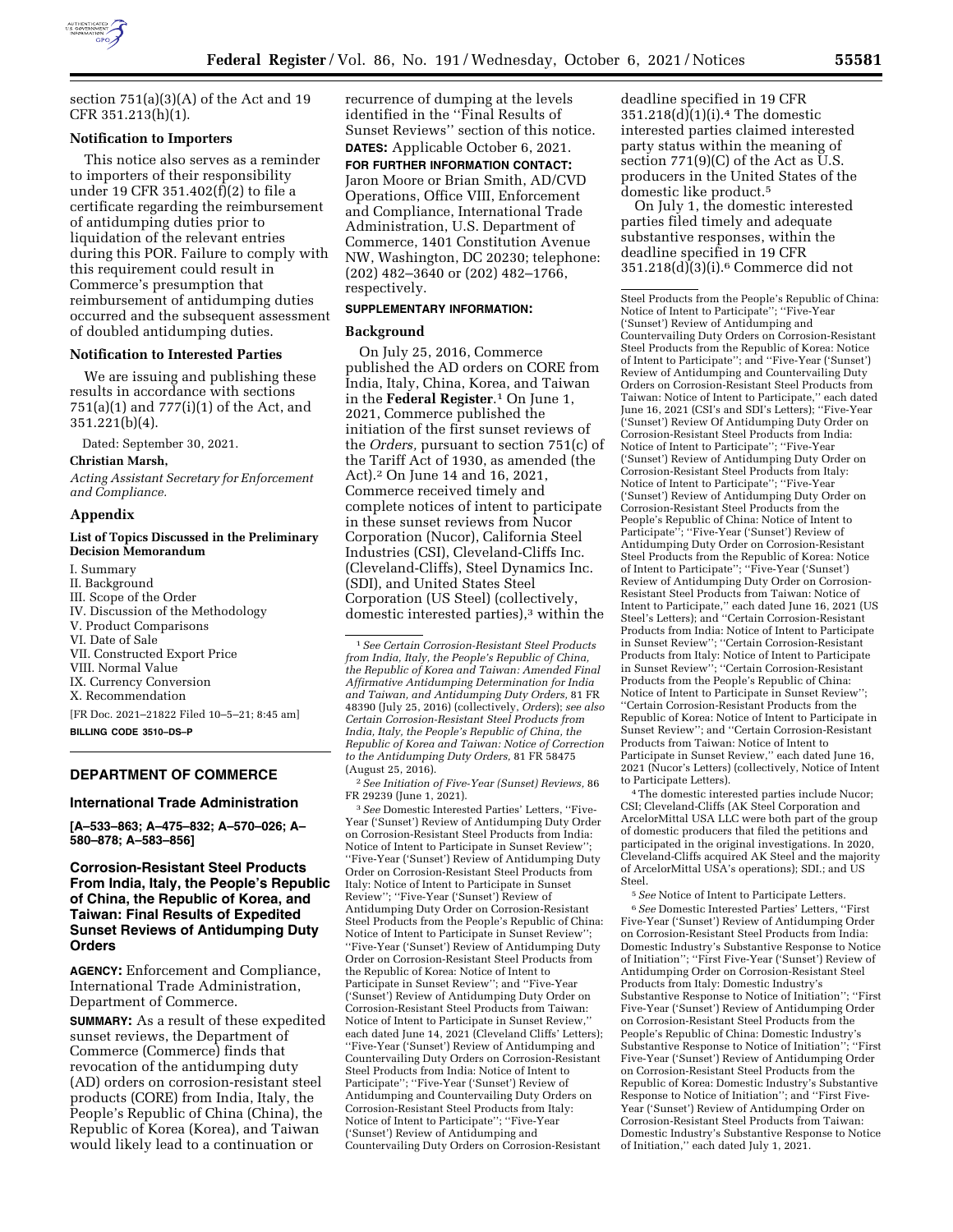

section 751(a)(3)(A) of the Act and 19 CFR 351.213(h)(1).

### **Notification to Importers**

This notice also serves as a reminder to importers of their responsibility under 19 CFR 351.402(f)(2) to file a certificate regarding the reimbursement of antidumping duties prior to liquidation of the relevant entries during this POR. Failure to comply with this requirement could result in Commerce's presumption that reimbursement of antidumping duties occurred and the subsequent assessment of doubled antidumping duties.

#### **Notification to Interested Parties**

We are issuing and publishing these results in accordance with sections 751(a)(1) and 777(i)(1) of the Act, and 351.221(b)(4).

Dated: September 30, 2021.

### **Christian Marsh,**

*Acting Assistant Secretary for Enforcement and Compliance.* 

#### **Appendix**

### **List of Topics Discussed in the Preliminary Decision Memorandum**

I. Summary II. Background III. Scope of the Order IV. Discussion of the Methodology V. Product Comparisons VI. Date of Sale VII. Constructed Export Price VIII. Normal Value IX. Currency Conversion X. Recommendation [FR Doc. 2021–21822 Filed 10–5–21; 8:45 am] **BILLING CODE 3510–DS–P** 

# **DEPARTMENT OF COMMERCE**

#### **International Trade Administration**

**[A–533–863; A–475–832; A–570–026; A– 580–878; A–583–856]** 

# **Corrosion-Resistant Steel Products From India, Italy, the People's Republic of China, the Republic of Korea, and Taiwan: Final Results of Expedited Sunset Reviews of Antidumping Duty Orders**

**AGENCY:** Enforcement and Compliance, International Trade Administration, Department of Commerce.

**SUMMARY:** As a result of these expedited sunset reviews, the Department of Commerce (Commerce) finds that revocation of the antidumping duty (AD) orders on corrosion-resistant steel products (CORE) from India, Italy, the People's Republic of China (China), the Republic of Korea (Korea), and Taiwan would likely lead to a continuation or

recurrence of dumping at the levels identified in the ''Final Results of Sunset Reviews'' section of this notice. **DATES:** Applicable October 6, 2021.

**FOR FURTHER INFORMATION CONTACT:**  Jaron Moore or Brian Smith, AD/CVD Operations, Office VIII, Enforcement and Compliance, International Trade Administration, U.S. Department of Commerce, 1401 Constitution Avenue NW, Washington, DC 20230; telephone: (202) 482–3640 or (202) 482–1766, respectively.

# **SUPPLEMENTARY INFORMATION:**

### **Background**

On July 25, 2016, Commerce published the AD orders on CORE from India, Italy, China, Korea, and Taiwan in the **Federal Register**.1 On June 1, 2021, Commerce published the initiation of the first sunset reviews of the *Orders,* pursuant to section 751(c) of the Tariff Act of 1930, as amended (the Act).2 On June 14 and 16, 2021, Commerce received timely and complete notices of intent to participate in these sunset reviews from Nucor Corporation (Nucor), California Steel Industries (CSI), Cleveland-Cliffs Inc. (Cleveland-Cliffs), Steel Dynamics Inc. (SDI), and United States Steel Corporation (US Steel) (collectively, domestic interested parties),3 within the

2*See Initiation of Five-Year (Sunset) Reviews,* 86 FR 29239 (June 1, 2021).

3*See* Domestic Interested Parties' Letters, ''Five-Year ('Sunset') Review of Antidumping Duty Order on Corrosion-Resistant Steel Products from India: Notice of Intent to Participate in Sunset Review''; ''Five-Year ('Sunset') Review of Antidumping Duty Order on Corrosion-Resistant Steel Products from Italy: Notice of Intent to Participate in Sunset Review''; ''Five-Year ('Sunset') Review of Antidumping Duty Order on Corrosion-Resistant Steel Products from the People's Republic of China: Notice of Intent to Participate in Sunset Review''; ''Five-Year ('Sunset') Review of Antidumping Duty Order on Corrosion-Resistant Steel Products from the Republic of Korea: Notice of Intent to Participate in Sunset Review''; and ''Five-Year ('Sunset') Review of Antidumping Duty Order on Corrosion-Resistant Steel Products from Taiwan: Notice of Intent to Participate in Sunset Review,'' each dated June 14, 2021 (Cleveland Cliffs' Letters); ''Five-Year ('Sunset') Review of Antidumping and Countervailing Duty Orders on Corrosion-Resistant Steel Products from India: Notice of Intent to Participate''; ''Five-Year ('Sunset') Review of Antidumping and Countervailing Duty Orders on Corrosion-Resistant Steel Products from Italy: Notice of Intent to Participate''; ''Five-Year ('Sunset') Review of Antidumping and Countervailing Duty Orders on Corrosion-Resistant

deadline specified in 19 CFR 351.218(d)(1)(i).4 The domestic interested parties claimed interested party status within the meaning of section  $771(9)(C)$  of the Act as U.S. producers in the United States of the domestic like product.5

On July 1, the domestic interested parties filed timely and adequate substantive responses, within the deadline specified in 19 CFR  $351.218(d)(3)(i).6$  Commerce did not

Steel Products from the People's Republic of China: Notice of Intent to Participate''; ''Five-Year ('Sunset') Review of Antidumping and Countervailing Duty Orders on Corrosion-Resistant Steel Products from the Republic of Korea: Notice of Intent to Participate''; and ''Five-Year ('Sunset') Review of Antidumping and Countervailing Duty Orders on Corrosion-Resistant Steel Products from Taiwan: Notice of Intent to Participate,'' each dated June 16, 2021 (CSI's and SDI's Letters); ''Five-Year ('Sunset') Review Of Antidumping Duty Order on Corrosion-Resistant Steel Products from India: Notice of Intent to Participate''; ''Five-Year ('Sunset') Review of Antidumping Duty Order on Corrosion-Resistant Steel Products from Italy: Notice of Intent to Participate''; ''Five-Year ('Sunset') Review of Antidumping Duty Order on Corrosion-Resistant Steel Products from the People's Republic of China: Notice of Intent to Participate"; "Five-Year ('Sunset') Review of Antidumping Duty Order on Corrosion-Resistant Steel Products from the Republic of Korea: Notice of Intent to Participate''; ''Five-Year ('Sunset') Review of Antidumping Duty Order on Corrosion-Resistant Steel Products from Taiwan: Notice of Intent to Participate,'' each dated June 16, 2021 (US Steel's Letters); and ''Certain Corrosion-Resistant Products from India: Notice of Intent to Participate in Sunset Review''; ''Certain Corrosion-Resistant Products from Italy: Notice of Intent to Participate in Sunset Review''; ''Certain Corrosion-Resistant Products from the People's Republic of China: Notice of Intent to Participate in Sunset Review''; ''Certain Corrosion-Resistant Products from the Republic of Korea: Notice of Intent to Participate in Sunset Review''; and ''Certain Corrosion-Resistant Products from Taiwan: Notice of Intent to Participate in Sunset Review,'' each dated June 16, 2021 (Nucor's Letters) (collectively, Notice of Intent to Participate Letters).

4The domestic interested parties include Nucor; CSI; Cleveland-Cliffs (AK Steel Corporation and ArcelorMittal USA LLC were both part of the group of domestic producers that filed the petitions and participated in the original investigations. In 2020, Cleveland-Cliffs acquired AK Steel and the majority of ArcelorMittal USA's operations); SDI.; and US Steel.

5*See* Notice of Intent to Participate Letters. 6*See* Domestic Interested Parties' Letters, ''First Five-Year ('Sunset') Review of Antidumping Order on Corrosion-Resistant Steel Products from India: Domestic Industry's Substantive Response to Notice of Initiation''; ''First Five-Year ('Sunset') Review of Antidumping Order on Corrosion-Resistant Steel Products from Italy: Domestic Industry's Substantive Response to Notice of Initiation''; ''First Five-Year ('Sunset') Review of Antidumping Order on Corrosion-Resistant Steel Products from the People's Republic of China: Domestic Industry's Substantive Response to Notice of Initiation''; ''First Five-Year ('Sunset') Review of Antidumping Order on Corrosion-Resistant Steel Products from the Republic of Korea: Domestic Industry's Substantive Response to Notice of Initiation''; and ''First Five-Year ('Sunset') Review of Antidumping Order on Corrosion-Resistant Steel Products from Taiwan: Domestic Industry's Substantive Response to Notice of Initiation,'' each dated July 1, 2021.

<sup>1</sup>*See Certain Corrosion-Resistant Steel Products from India, Italy, the People's Republic of China, the Republic of Korea and Taiwan: Amended Final Affirmative Antidumping Determination for India and Taiwan, and Antidumping Duty Orders,* 81 FR 48390 (July 25, 2016) (collectively, *Orders*); *see also Certain Corrosion-Resistant Steel Products from India, Italy, the People's Republic of China, the Republic of Korea and Taiwan: Notice of Correction to the Antidumping Duty Orders,* 81 FR 58475 (August 25, 2016).